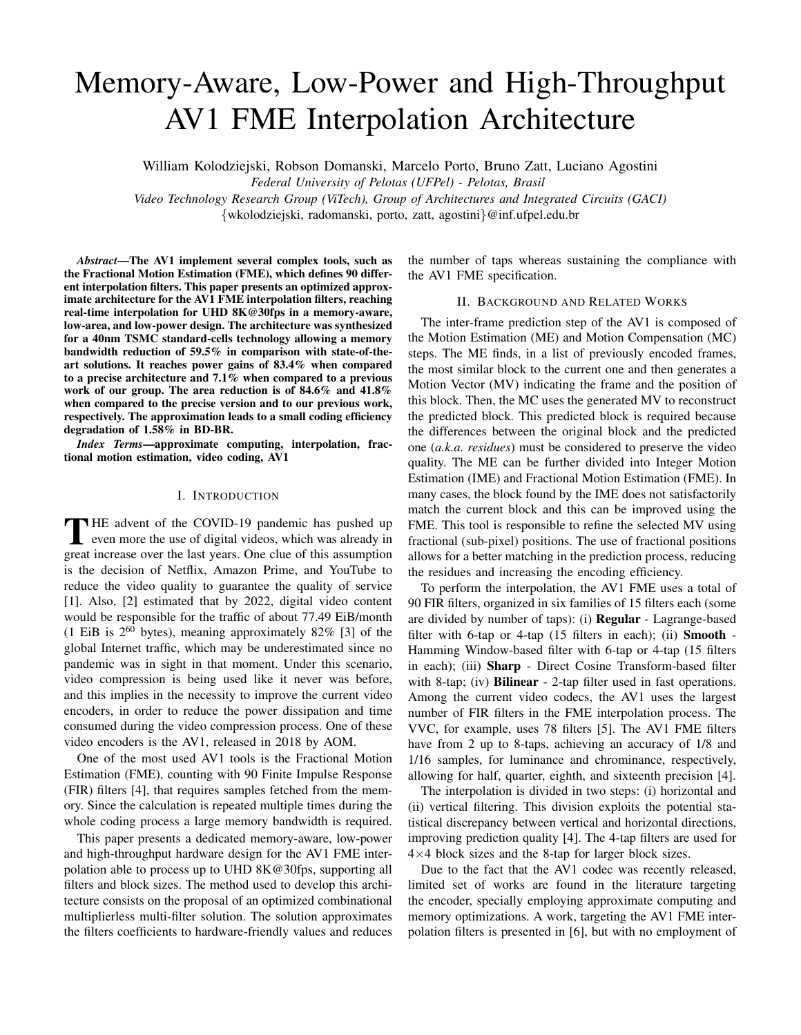# Memory-Aware, Low-Power and High-Throughput AV1 FME Interpolation Architecture

William Kolodziejski, Robson Domanski, Marcelo Porto, Bruno Zatt, Luciano Agostini

*Federal University of Pelotas (UFPel) - Pelotas, Brasil*

*Video Technology Research Group (ViTech), Group of Architectures and Integrated Circuits (GACI)*

{wkolodziejski, radomanski, porto, zatt, agostini}@inf.ufpel.edu.br

*Abstract*—The AV1 implement several complex tools, such as the Fractional Motion Estimation (FME), which defines 90 different interpolation filters. This paper presents an optimized approximate architecture for the AV1 FME interpolation filters, reaching real-time interpolation for UHD 8K@30fps in a memory-aware, low-area, and low-power design. The architecture was synthesized for a 40nm TSMC standard-cells technology allowing a memory bandwidth reduction of 59.5% in comparison with state-of-theart solutions. It reaches power gains of 83.4% when compared to a precise architecture and 7.1% when compared to a previous work of our group. The area reduction is of 84.6% and 41.8% when compared to the precise version and to our previous work, respectively. The approximation leads to a small coding efficiency degradation of 1.58% in BD-BR.

*Index Terms*—approximate computing, interpolation, fractional motion estimation, video coding, AV1

## I. INTRODUCTION

THE advent of the COVID-19 pandemic has pushed up<br>even more the use of digital videos, which was already in<br>exact increase sum the last upon. One also of this communion **HE** advent of the COVID-19 pandemic has pushed up great increase over the last years. One clue of this assumption is the decision of Netflix, Amazon Prime, and YouTube to reduce the video quality to guarantee the quality of service [1]. Also, [2] estimated that by 2022, digital video content would be responsible for the traffic of about 77.49 EiB/month (1 EiB is  $2^{60}$  bytes), meaning approximately 82% [3] of the global Internet traffic, which may be underestimated since no pandemic was in sight in that moment. Under this scenario, video compression is being used like it never was before, and this implies in the necessity to improve the current video encoders, in order to reduce the power dissipation and time consumed during the video compression process. One of these video encoders is the AV1, released in 2018 by AOM.

One of the most used AV1 tools is the Fractional Motion Estimation (FME), counting with 90 Finite Impulse Response (FIR) filters [4], that requires samples fetched from the memory. Since the calculation is repeated multiple times during the whole coding process a large memory bandwidth is required.

This paper presents a dedicated memory-aware, low-power and high-throughput hardware design for the AV1 FME interpolation able to process up to UHD 8K@30fps, supporting all filters and block sizes. The method used to develop this architecture consists on the proposal of an optimized combinational multiplierless multi-filter solution. The solution approximates the filters coefficients to hardware-friendly values and reduces the number of taps whereas sustaining the compliance with the AV1 FME specification.

# II. BACKGROUND AND RELATED WORKS

The inter-frame prediction step of the AV1 is composed of the Motion Estimation (ME) and Motion Compensation (MC) steps. The ME finds, in a list of previously encoded frames, the most similar block to the current one and then generates a Motion Vector (MV) indicating the frame and the position of this block. Then, the MC uses the generated MV to reconstruct the predicted block. This predicted block is required because the differences between the original block and the predicted one (*a.k.a. residues*) must be considered to preserve the video quality. The ME can be further divided into Integer Motion Estimation (IME) and Fractional Motion Estimation (FME). In many cases, the block found by the IME does not satisfactorily match the current block and this can be improved using the FME. This tool is responsible to refine the selected MV using fractional (sub-pixel) positions. The use of fractional positions allows for a better matching in the prediction process, reducing the residues and increasing the encoding efficiency.

To perform the interpolation, the AV1 FME uses a total of 90 FIR filters, organized in six families of 15 filters each (some are divided by number of taps): (i) Regular - Lagrange-based filter with 6-tap or 4-tap (15 filters in each); (ii) **Smooth** -Hamming Window-based filter with 6-tap or 4-tap (15 filters in each); (iii) Sharp - Direct Cosine Transform-based filter with 8-tap; (iv) **Bilinear** - 2-tap filter used in fast operations. Among the current video codecs, the AV1 uses the largest number of FIR filters in the FME interpolation process. The VVC, for example, uses 78 filters [5]. The AV1 FME filters have from 2 up to 8-taps, achieving an accuracy of  $1/8$  and 1/16 samples, for luminance and chrominance, respectively, allowing for half, quarter, eighth, and sixteenth precision [4].

The interpolation is divided in two steps: (i) horizontal and (ii) vertical filtering. This division exploits the potential statistical discrepancy between vertical and horizontal directions, improving prediction quality [4]. The 4-tap filters are used for  $4\times4$  block sizes and the 8-tap for larger block sizes.

Due to the fact that the AV1 codec was recently released, limited set of works are found in the literature targeting the encoder, specially employing approximate computing and memory optimizations. A work, targeting the AV1 FME interpolation filters is presented in [6], but with no employment of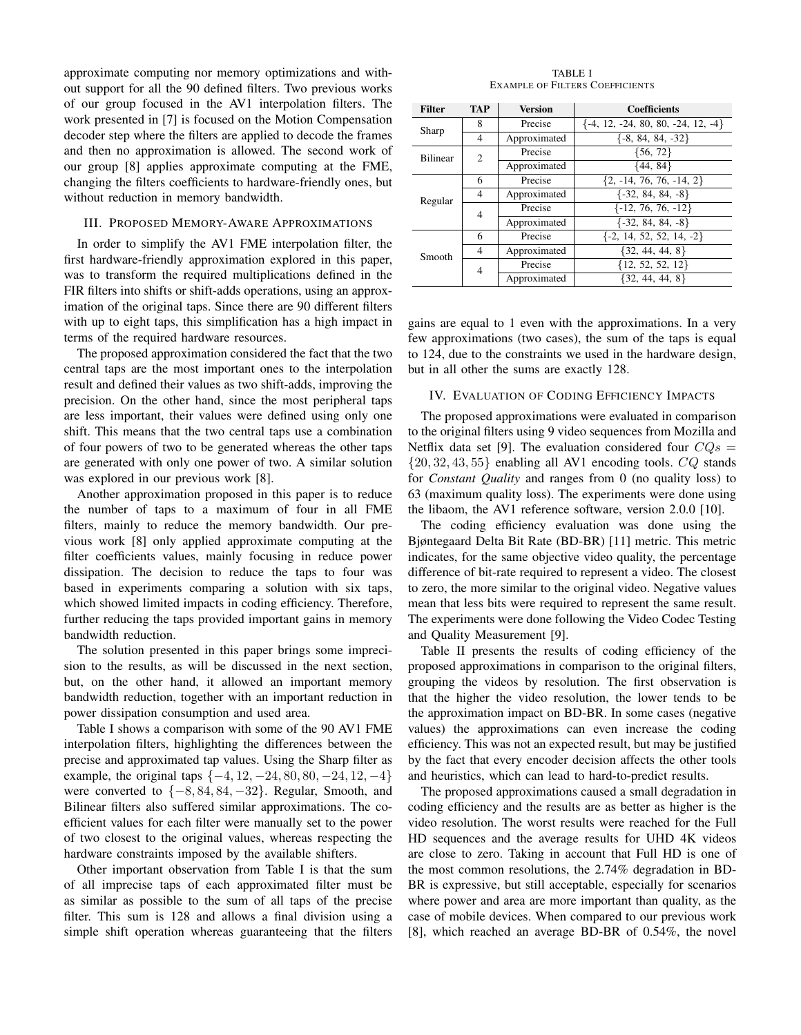approximate computing nor memory optimizations and without support for all the 90 defined filters. Two previous works of our group focused in the AV1 interpolation filters. The work presented in [7] is focused on the Motion Compensation decoder step where the filters are applied to decode the frames and then no approximation is allowed. The second work of our group [8] applies approximate computing at the FME, changing the filters coefficients to hardware-friendly ones, but without reduction in memory bandwidth.

#### III. PROPOSED MEMORY-AWARE APPROXIMATIONS

In order to simplify the AV1 FME interpolation filter, the first hardware-friendly approximation explored in this paper, was to transform the required multiplications defined in the FIR filters into shifts or shift-adds operations, using an approximation of the original taps. Since there are 90 different filters with up to eight taps, this simplification has a high impact in terms of the required hardware resources.

The proposed approximation considered the fact that the two central taps are the most important ones to the interpolation result and defined their values as two shift-adds, improving the precision. On the other hand, since the most peripheral taps are less important, their values were defined using only one shift. This means that the two central taps use a combination of four powers of two to be generated whereas the other taps are generated with only one power of two. A similar solution was explored in our previous work [8].

Another approximation proposed in this paper is to reduce the number of taps to a maximum of four in all FME filters, mainly to reduce the memory bandwidth. Our previous work [8] only applied approximate computing at the filter coefficients values, mainly focusing in reduce power dissipation. The decision to reduce the taps to four was based in experiments comparing a solution with six taps, which showed limited impacts in coding efficiency. Therefore, further reducing the taps provided important gains in memory bandwidth reduction.

The solution presented in this paper brings some imprecision to the results, as will be discussed in the next section, but, on the other hand, it allowed an important memory bandwidth reduction, together with an important reduction in power dissipation consumption and used area.

Table I shows a comparison with some of the 90 AV1 FME interpolation filters, highlighting the differences between the precise and approximated tap values. Using the Sharp filter as example, the original taps  $\{-4, 12, -24, 80, 80, -24, 12, -4\}$ were converted to {−8, 84, 84, −32}. Regular, Smooth, and Bilinear filters also suffered similar approximations. The coefficient values for each filter were manually set to the power of two closest to the original values, whereas respecting the hardware constraints imposed by the available shifters.

Other important observation from Table I is that the sum of all imprecise taps of each approximated filter must be as similar as possible to the sum of all taps of the precise filter. This sum is 128 and allows a final division using a simple shift operation whereas guaranteeing that the filters

TABLE I EXAMPLE OF FILTERS COEFFICIENTS

| <b>Filter</b>   | <b>TAP</b>     | <b>Version</b>                                    | <b>Coefficients</b>          |  |
|-----------------|----------------|---------------------------------------------------|------------------------------|--|
| Sharp           | 8              | $\{-4, 12, -24, 80, 80, -24, 12, -4\}$<br>Precise |                              |  |
|                 | 4              | Approximated                                      | $\{-8, 84, 84, -32\}$        |  |
| <b>Bilinear</b> | $\mathfrak{D}$ | Precise                                           | ${56, 72}$                   |  |
|                 |                | Approximated                                      | {44,84}                      |  |
| Regular         | 6              | Precise                                           | $\{2, -14, 76, 76, -14, 2\}$ |  |
|                 | 4              | Approximated                                      | $\{-32, 84, 84, -8\}$        |  |
|                 | $\overline{4}$ | Precise                                           | $\{-12, 76, 76, -12\}$       |  |
|                 |                | Approximated                                      | $\{-32, 84, 84, -8\}$        |  |
| Smooth          | 6              | Precise                                           | $\{-2, 14, 52, 52, 14, -2\}$ |  |
|                 | 4              | Approximated                                      | $\{32, 44, 44, 8\}$          |  |
|                 | 4              | Precise                                           | ${12, 52, 52, 12}$           |  |
|                 |                | Approximated                                      | $\{32, 44, 44, 8\}$          |  |

gains are equal to 1 even with the approximations. In a very few approximations (two cases), the sum of the taps is equal to 124, due to the constraints we used in the hardware design, but in all other the sums are exactly 128.

#### IV. EVALUATION OF CODING EFFICIENCY IMPACTS

The proposed approximations were evaluated in comparison to the original filters using 9 video sequences from Mozilla and Netflix data set [9]. The evaluation considered four  $CQs =$  $\{20, 32, 43, 55\}$  enabling all AV1 encoding tools.  $CQ$  stands for *Constant Quality* and ranges from 0 (no quality loss) to 63 (maximum quality loss). The experiments were done using the libaom, the AV1 reference software, version 2.0.0 [10].

The coding efficiency evaluation was done using the Bjøntegaard Delta Bit Rate (BD-BR) [11] metric. This metric indicates, for the same objective video quality, the percentage difference of bit-rate required to represent a video. The closest to zero, the more similar to the original video. Negative values mean that less bits were required to represent the same result. The experiments were done following the Video Codec Testing and Quality Measurement [9].

Table II presents the results of coding efficiency of the proposed approximations in comparison to the original filters, grouping the videos by resolution. The first observation is that the higher the video resolution, the lower tends to be the approximation impact on BD-BR. In some cases (negative values) the approximations can even increase the coding efficiency. This was not an expected result, but may be justified by the fact that every encoder decision affects the other tools and heuristics, which can lead to hard-to-predict results.

The proposed approximations caused a small degradation in coding efficiency and the results are as better as higher is the video resolution. The worst results were reached for the Full HD sequences and the average results for UHD 4K videos are close to zero. Taking in account that Full HD is one of the most common resolutions, the 2.74% degradation in BD-BR is expressive, but still acceptable, especially for scenarios where power and area are more important than quality, as the case of mobile devices. When compared to our previous work [8], which reached an average BD-BR of 0.54%, the novel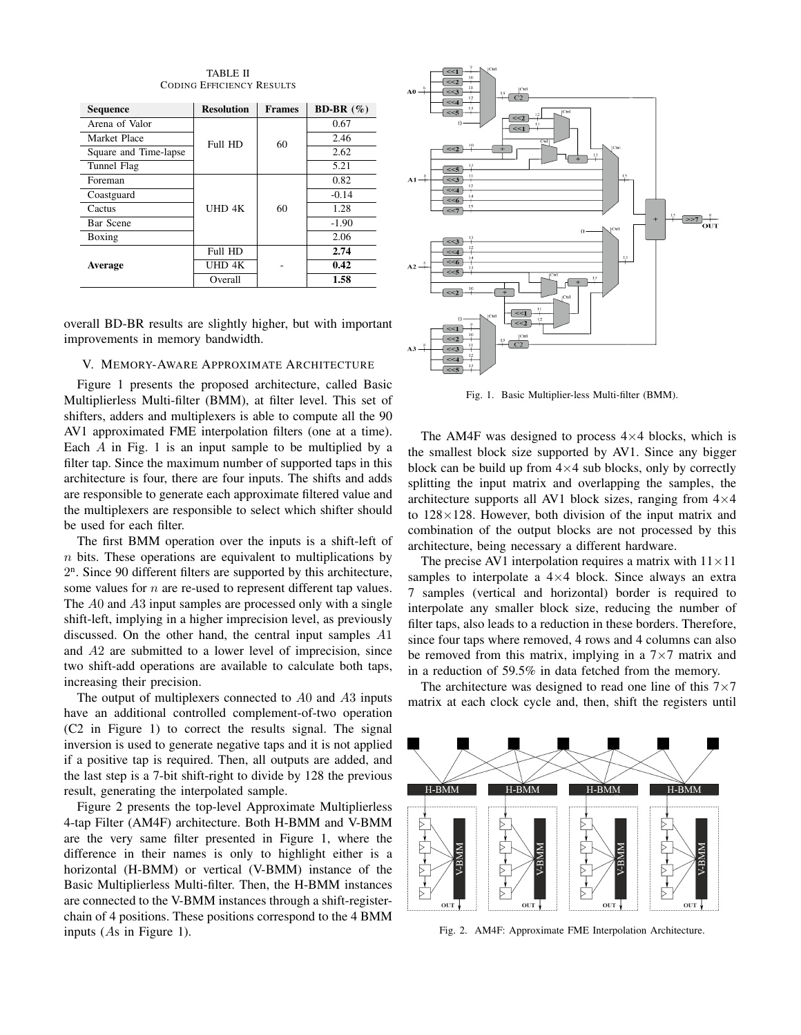| <b>Sequence</b>       | <b>Resolution</b> | <b>Frames</b> | <b>BD-BR</b> $(\%)$ |
|-----------------------|-------------------|---------------|---------------------|
| Arena of Valor        | Full HD           | 60            | 0.67                |
| Market Place          |                   |               | 2.46                |
| Square and Time-lapse |                   |               | 2.62                |
| Tunnel Flag           |                   |               | 5.21                |
| Foreman               |                   | 60            | 0.82                |
| Coastguard            |                   |               | $-0.14$             |
| Cactus                | UHD 4K            |               | 1.28                |
| Bar Scene             |                   |               | $-1.90$             |
| Boxing                |                   |               | 2.06                |
|                       | Full HD           |               | 2.74                |
| Average               | UHD 4K            |               | 0.42                |
|                       | Overall           |               | 1.58                |

TABLE II CODING EFFICIENCY RESULTS

overall BD-BR results are slightly higher, but with important improvements in memory bandwidth.

## V. MEMORY-AWARE APPROXIMATE ARCHITECTURE

Figure 1 presents the proposed architecture, called Basic Multiplierless Multi-filter (BMM), at filter level. This set of shifters, adders and multiplexers is able to compute all the 90 AV1 approximated FME interpolation filters (one at a time). Each A in Fig. 1 is an input sample to be multiplied by a filter tap. Since the maximum number of supported taps in this architecture is four, there are four inputs. The shifts and adds are responsible to generate each approximate filtered value and the multiplexers are responsible to select which shifter should be used for each filter.

The first BMM operation over the inputs is a shift-left of  $n$  bits. These operations are equivalent to multiplications by 2 n . Since 90 different filters are supported by this architecture, some values for  $n$  are re-used to represent different tap values. The A0 and A3 input samples are processed only with a single shift-left, implying in a higher imprecision level, as previously discussed. On the other hand, the central input samples A1 and A2 are submitted to a lower level of imprecision, since two shift-add operations are available to calculate both taps, increasing their precision.

The output of multiplexers connected to A0 and A3 inputs have an additional controlled complement-of-two operation (C2 in Figure 1) to correct the results signal. The signal inversion is used to generate negative taps and it is not applied if a positive tap is required. Then, all outputs are added, and the last step is a 7-bit shift-right to divide by 128 the previous result, generating the interpolated sample.

Figure 2 presents the top-level Approximate Multiplierless 4-tap Filter (AM4F) architecture. Both H-BMM and V-BMM are the very same filter presented in Figure 1, where the difference in their names is only to highlight either is a horizontal (H-BMM) or vertical (V-BMM) instance of the Basic Multiplierless Multi-filter. Then, the H-BMM instances are connected to the V-BMM instances through a shift-registerchain of 4 positions. These positions correspond to the 4 BMM inputs (As in Figure 1).



Fig. 1. Basic Multiplier-less Multi-filter (BMM).

The AM4F was designed to process  $4\times4$  blocks, which is the smallest block size supported by AV1. Since any bigger block can be build up from  $4\times4$  sub blocks, only by correctly splitting the input matrix and overlapping the samples, the architecture supports all AV1 block sizes, ranging from  $4\times4$ to  $128 \times 128$ . However, both division of the input matrix and combination of the output blocks are not processed by this architecture, being necessary a different hardware.

The precise AV1 interpolation requires a matrix with  $11 \times 11$ samples to interpolate a  $4\times4$  block. Since always an extra 7 samples (vertical and horizontal) border is required to interpolate any smaller block size, reducing the number of filter taps, also leads to a reduction in these borders. Therefore, since four taps where removed, 4 rows and 4 columns can also be removed from this matrix, implying in a  $7\times7$  matrix and in a reduction of 59.5% in data fetched from the memory.

The architecture was designed to read one line of this  $7\times7$ matrix at each clock cycle and, then, shift the registers until



Fig. 2. AM4F: Approximate FME Interpolation Architecture.